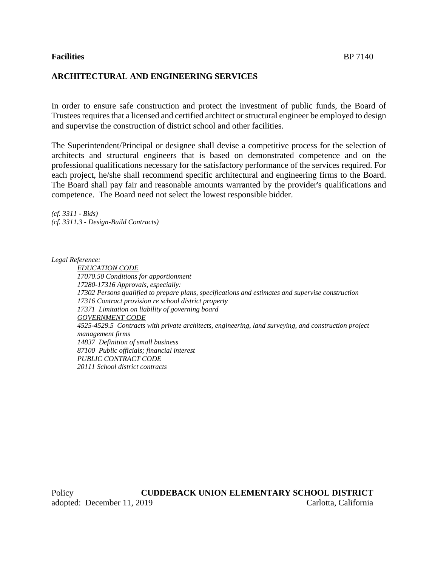## **Facilities** BP 7140

## **ARCHITECTURAL AND ENGINEERING SERVICES**

In order to ensure safe construction and protect the investment of public funds, the Board of Trustees requires that a licensed and certified architect or structural engineer be employed to design and supervise the construction of district school and other facilities.

The Superintendent/Principal or designee shall devise a competitive process for the selection of architects and structural engineers that is based on demonstrated competence and on the professional qualifications necessary for the satisfactory performance of the services required. For each project, he/she shall recommend specific architectural and engineering firms to the Board. The Board shall pay fair and reasonable amounts warranted by the provider's qualifications and competence. The Board need not select the lowest responsible bidder.

*(cf. 3311 - Bids) (cf. 3311.3 - Design-Build Contracts)*

*Legal Reference:*

*EDUCATION CODE 17070.50 Conditions for apportionment 17280-17316 Approvals, especially: 17302 Persons qualified to prepare plans, specifications and estimates and supervise construction 17316 Contract provision re school district property 17371 Limitation on liability of governing board GOVERNMENT CODE 4525-4529.5 Contracts with private architects, engineering, land surveying, and construction project management firms 14837 Definition of small business 87100 Public officials; financial interest PUBLIC CONTRACT CODE 20111 School district contracts*

Policy **CUDDEBACK UNION ELEMENTARY SCHOOL DISTRICT** adopted: December 11, 2019 Carlotta, California